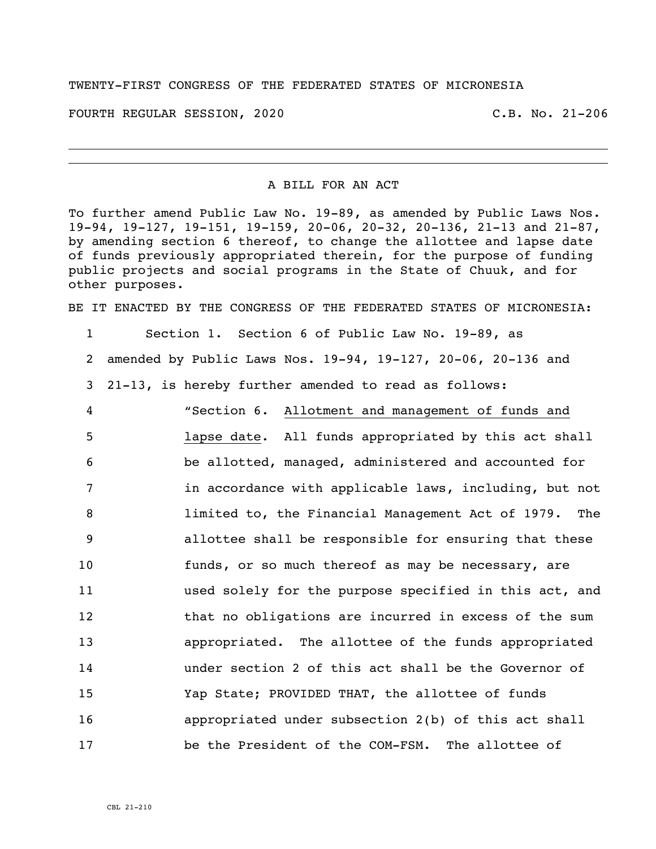## TWENTY-FIRST CONGRESS OF THE FEDERATED STATES OF MICRONESIA

FOURTH REGULAR SESSION, 2020 C.B. No. 21-206

## A BILL FOR AN ACT

To further amend Public Law No. 19-89, as amended by Public Laws Nos. 19-94, 19-127, 19-151, 19-159, 20-06, 20-32, 20-136, 21-13 and 21-87, by amending section 6 thereof, to change the allottee and lapse date of funds previously appropriated therein, for the purpose of funding public projects and social programs in the State of Chuuk, and for other purposes.

BE IT ENACTED BY THE CONGRESS OF THE FEDERATED STATES OF MICRONESIA:

 Section 1. Section 6 of Public Law No. 19-89, as amended by Public Laws Nos. 19-94, 19-127, 20-06, 20-136 and

21-13, is hereby further amended to read as follows:

 "Section 6. Allotment and management of funds and lapse date. All funds appropriated by this act shall be allotted, managed, administered and accounted for **in accordance with applicable laws, including, but not**  limited to, the Financial Management Act of 1979. The allottee shall be responsible for ensuring that these funds, or so much thereof as may be necessary, are used solely for the purpose specified in this act, and that no obligations are incurred in excess of the sum appropriated. The allottee of the funds appropriated under section 2 of this act shall be the Governor of Yap State; PROVIDED THAT, the allottee of funds appropriated under subsection 2(b) of this act shall be the President of the COM-FSM. The allottee of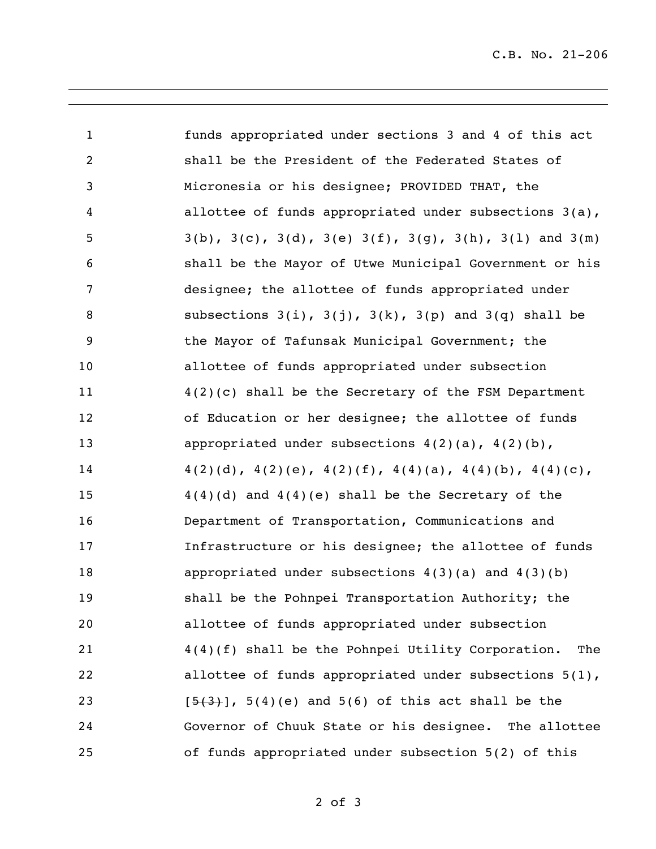C.B. No. 21-206

| $\mathbf{1}$   | funds appropriated under sections 3 and 4 of this act                          |
|----------------|--------------------------------------------------------------------------------|
| $\overline{2}$ | shall be the President of the Federated States of                              |
| 3              | Micronesia or his designee; PROVIDED THAT, the                                 |
| 4              | allottee of funds appropriated under subsections 3(a),                         |
| 5              | $3(b)$ , $3(c)$ , $3(d)$ , $3(e)$ $3(f)$ , $3(g)$ , $3(h)$ , $3(1)$ and $3(m)$ |
| 6              | shall be the Mayor of Utwe Municipal Government or his                         |
| 7              | designee; the allottee of funds appropriated under                             |
| 8              | subsections $3(i)$ , $3(j)$ , $3(k)$ , $3(p)$ and $3(q)$ shall be              |
| 9              | the Mayor of Tafunsak Municipal Government; the                                |
| 10             | allottee of funds appropriated under subsection                                |
| 11             | $4(2)(c)$ shall be the Secretary of the FSM Department                         |
| 12             | of Education or her designee; the allottee of funds                            |
| 13             | appropriated under subsections $4(2)(a)$ , $4(2)(b)$ ,                         |
| 14             | $4(2)(d), 4(2)(e), 4(2)(f), 4(4)(a), 4(4)(b), 4(4)(c),$                        |
| 15             | $4(4)(d)$ and $4(4)(e)$ shall be the Secretary of the                          |
| 16             | Department of Transportation, Communications and                               |
| 17             | Infrastructure or his designee; the allottee of funds                          |
| 18             | appropriated under subsections $4(3)(a)$ and $4(3)(b)$                         |
| 19             | shall be the Pohnpei Transportation Authority; the                             |
| 20             | allottee of funds appropriated under subsection                                |
| 21             | 4(4)(f) shall be the Pohnpei Utility Corporation.<br>The                       |
| 22             | allottee of funds appropriated under subsections $5(1)$ ,                      |
| 23             | $[5(3)$ ], 5(4)(e) and 5(6) of this act shall be the                           |
| 24             | Governor of Chuuk State or his designee. The allottee                          |
| 25             | of funds appropriated under subsection 5(2) of this                            |